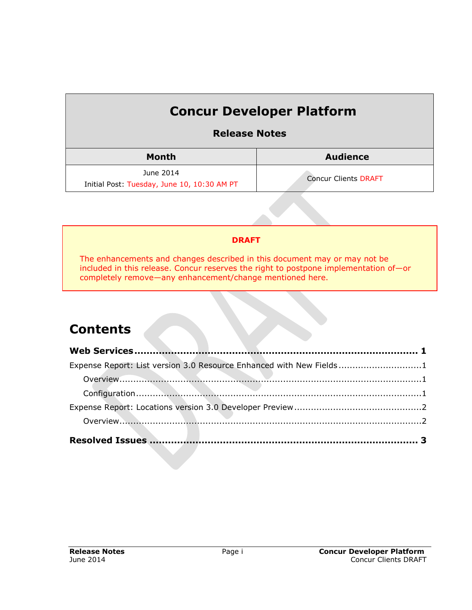# **Concur Developer Platform**

## **Release Notes**

| Month                                       | <b>Audience</b>             |  |
|---------------------------------------------|-----------------------------|--|
| June 2014                                   | <b>Concur Clients DRAFT</b> |  |
| Initial Post: Tuesday, June 10, 10:30 AM PT |                             |  |

#### **DRAFT**

The enhancements and changes described in this document may or may not be included in this release. Concur reserves the right to postpone implementation of—or completely remove—any enhancement/change mentioned here.

## **Contents**

| Expense Report: List version 3.0 Resource Enhanced with New Fields1 |  |
|---------------------------------------------------------------------|--|
|                                                                     |  |
|                                                                     |  |
|                                                                     |  |
|                                                                     |  |
|                                                                     |  |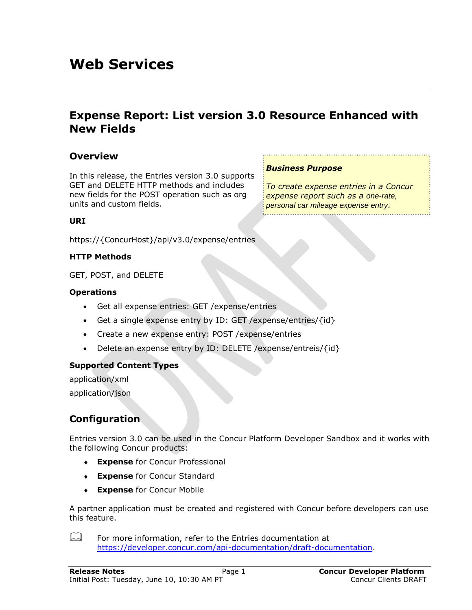## <span id="page-1-0"></span>**Web Services**

## <span id="page-1-1"></span>**Expense Report: List version 3.0 Resource Enhanced with New Fields**

### <span id="page-1-2"></span>**Overview**

In this release, the Entries version 3.0 supports GET and DELETE HTTP methods and includes new fields for the POST operation such as org units and custom fields.

#### *Business Purpose*

*To create expense entries in a Concur expense report such as a one-rate, personal car mileage expense entry.*

#### **URI**

https://{ConcurHost}/api/v3.0/expense/entries

#### **HTTP Methods**

GET, POST, and DELETE

#### **Operations**

- Get all expense entries: GET /expense/entries
- Get a single expense entry by ID: GET / expense/entries/ $\{id\}$
- Create a new expense entry: POST /expense/entries
- Delete an expense entry by ID: DELETE / expense/entreis/ $\{id\}$

#### **Supported Content Types**

application/xml application/json

### <span id="page-1-3"></span>**Configuration**

Entries version 3.0 can be used in the Concur Platform Developer Sandbox and it works with the following Concur products:

- **Expense** for Concur Professional
- **Expense** for Concur Standard
- **Expense** for Concur Mobile

A partner application must be created and registered with Concur before developers can use this feature.

 $\Box$  For more information, refer to the Entries documentation at [https://developer.concur.com/api-documentation/draft-documentation.](https://developer.concur.com/api-documentation/draft-documentation)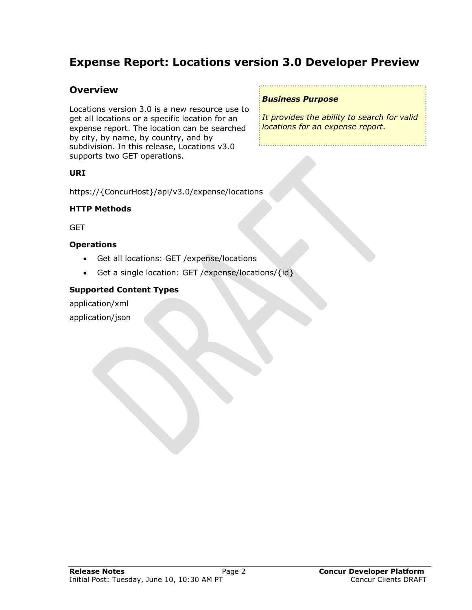## <span id="page-2-1"></span><span id="page-2-0"></span>**Expense Report: Locations version 3.0 Developer Preview**

### **Overview**

Locations version 3.0 is a new resource use to get all locations or a specific location for an expense report. The location can be searched by city, by name, by country, and by subdivision. In this release, Locations v3.0 supports two GET operations.

#### **URI**

https://{ConcurHost}/api/v3.0/expense/locations

#### **HTTP Methods**

**GET** 

#### **Operations**

- Get all locations: GET /expense/locations
- Get a single location: GET /expense/locations/ $\{id\}$

#### **Supported Content Types**

application/xml application/json

#### *Business Purpose*

*It provides the ability to search for valid locations for an expense report.*